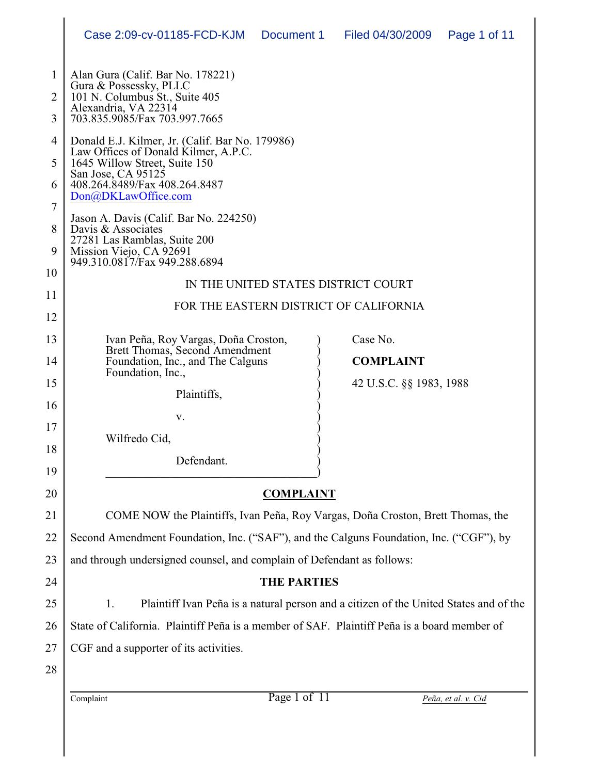|                                     | Case 2:09-cv-01185-FCD-KJM<br>Document 1<br>Filed 04/30/2009<br>Page 1 of 11                                                                                                                           |  |  |  |
|-------------------------------------|--------------------------------------------------------------------------------------------------------------------------------------------------------------------------------------------------------|--|--|--|
| $\mathbf{1}$<br>$\overline{2}$<br>3 | Alan Gura (Calif. Bar No. 178221)<br>Gura & Possessky, PLLC<br>101 N. Columbus St., Suite 405<br>Alexandria, VA 22314<br>703.835.9085/Fax 703.997.7665                                                 |  |  |  |
| $\overline{4}$                      | Donald E.J. Kilmer, Jr. (Calif. Bar No. 179986)<br>Law Offices of Donald Kilmer, A.P.C.<br>1645 Willow Street, Suite 150<br>San Jose, CA 95125<br>408.264.8489/Fax 408.264.8487<br>Don@DKLawOffice.com |  |  |  |
| 5                                   |                                                                                                                                                                                                        |  |  |  |
| 6                                   |                                                                                                                                                                                                        |  |  |  |
| 7                                   | Jason A. Davis (Calif. Bar No. 224250)                                                                                                                                                                 |  |  |  |
| 8<br>9                              | Davis & Associates<br>27281 Las Ramblas, Suite 200<br>Mission Viejo, CA 92691<br>949.310.0817/Fax 949.288.6894                                                                                         |  |  |  |
| 10                                  |                                                                                                                                                                                                        |  |  |  |
| 11                                  | IN THE UNITED STATES DISTRICT COURT                                                                                                                                                                    |  |  |  |
| 12                                  | FOR THE EASTERN DISTRICT OF CALIFORNIA                                                                                                                                                                 |  |  |  |
| 13                                  | Case No.<br>Ivan Peña, Roy Vargas, Doña Croston,                                                                                                                                                       |  |  |  |
| 14                                  | Brett Thomas, Second Amendment<br><b>COMPLAINT</b><br>Foundation, Inc., and The Calguns                                                                                                                |  |  |  |
| 15                                  | Foundation, Inc.,<br>42 U.S.C. §§ 1983, 1988                                                                                                                                                           |  |  |  |
| 16                                  | Plaintiffs,                                                                                                                                                                                            |  |  |  |
| 17                                  | V.                                                                                                                                                                                                     |  |  |  |
| 18                                  | Wilfredo Cid,                                                                                                                                                                                          |  |  |  |
| 19                                  | Defendant.                                                                                                                                                                                             |  |  |  |
| 20                                  | <b>COMPLAINT</b>                                                                                                                                                                                       |  |  |  |
| 21                                  | COME NOW the Plaintiffs, Ivan Peña, Roy Vargas, Doña Croston, Brett Thomas, the                                                                                                                        |  |  |  |
| 22                                  | Second Amendment Foundation, Inc. ("SAF"), and the Calguns Foundation, Inc. ("CGF"), by                                                                                                                |  |  |  |
| 23                                  | and through undersigned counsel, and complain of Defendant as follows:                                                                                                                                 |  |  |  |
| 24                                  | <b>THE PARTIES</b>                                                                                                                                                                                     |  |  |  |
| 25                                  | Plaintiff Ivan Peña is a natural person and a citizen of the United States and of the<br>1.                                                                                                            |  |  |  |
| 26                                  | State of California. Plaintiff Peña is a member of SAF. Plaintiff Peña is a board member of                                                                                                            |  |  |  |
| 27                                  | CGF and a supporter of its activities.                                                                                                                                                                 |  |  |  |
| 28                                  |                                                                                                                                                                                                        |  |  |  |
|                                     | Page 1 of 11<br>Complaint<br>Peña, et al. v. Cid                                                                                                                                                       |  |  |  |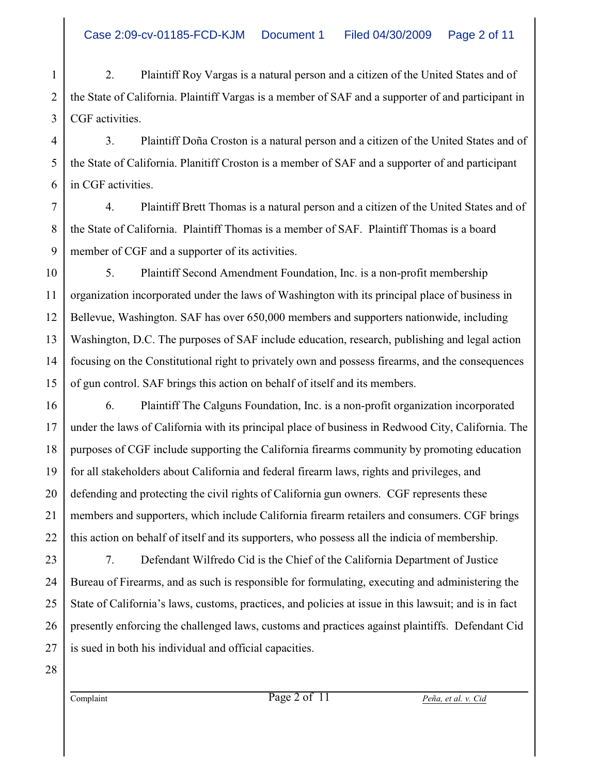1 2 3 2. Plaintiff Roy Vargas is a natural person and a citizen of the United States and of the State of California. Plaintiff Vargas is a member of SAF and a supporter of and participant in CGF activities.

4 3. Plaintiff Doña Croston is a natural person and a citizen of the United States and of the State of California. Planitiff Croston is a member of SAF and a supporter of and participant in CGF activities.

7 8 9 4. Plaintiff Brett Thomas is a natural person and a citizen of the United States and of the State of California. Plaintiff Thomas is a member of SAF. Plaintiff Thomas is a board member of CGF and a supporter of its activities.

10 11 12 13 14 15 5. Plaintiff Second Amendment Foundation, Inc. is a non-profit membership organization incorporated under the laws of Washington with its principal place of business in Bellevue, Washington. SAF has over 650,000 members and supporters nationwide, including Washington, D.C. The purposes of SAF include education, research, publishing and legal action focusing on the Constitutional right to privately own and possess firearms, and the consequences of gun control. SAF brings this action on behalf of itself and its members.

16 6. Plaintiff The Calguns Foundation, Inc. is a non-profit organization incorporated under the laws of California with its principal place of business in Redwood City, California. The purposes of CGF include supporting the California firearms community by promoting education for all stakeholders about California and federal firearm laws, rights and privileges, and defending and protecting the civil rights of California gun owners. CGF represents these members and supporters, which include California firearm retailers and consumers. CGF brings this action on behalf of itself and its supporters, who possess all the indicia of membership.

23 24 25 26 27 7. Defendant Wilfredo Cid is the Chief of the California Department of Justice Bureau of Firearms, and as such is responsible for formulating, executing and administering the State of California's laws, customs, practices, and policies at issue in this lawsuit; and is in fact presently enforcing the challenged laws, customs and practices against plaintiffs. Defendant Cid is sued in both his individual and official capacities.

28

17

18

19

20

21

22

5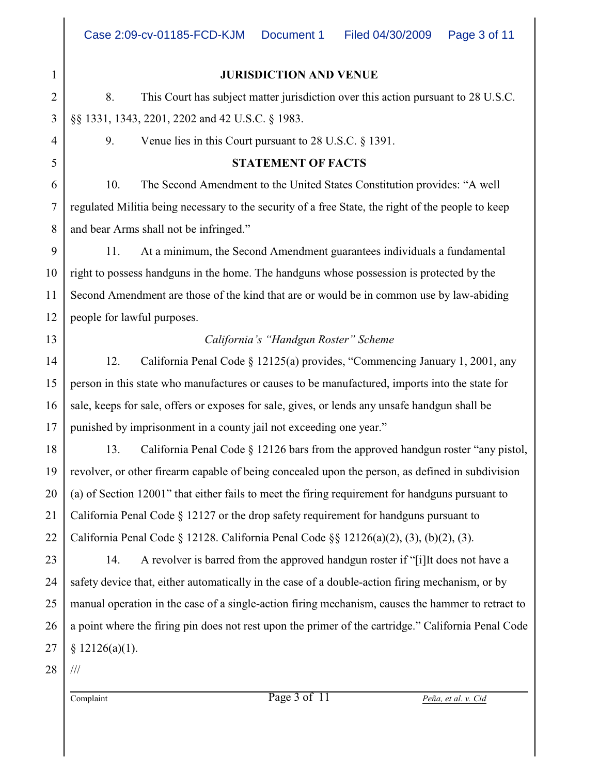|                 | 1                       |
|-----------------|-------------------------|
|                 | $\overline{2}$          |
|                 | 3                       |
|                 | 4                       |
|                 | 5                       |
|                 | 6                       |
|                 | $\overline{7}$          |
|                 | 8                       |
|                 | 9                       |
|                 | 10                      |
|                 | 11                      |
| $\mathbf 1$     | $\overline{\mathbf{c}}$ |
|                 | 13                      |
|                 | 14                      |
|                 | 15                      |
|                 | 16                      |
|                 | 17                      |
|                 | 18                      |
| 1 <sup>1</sup>  | )                       |
|                 | $20^{\degree}$          |
| $\overline{21}$ |                         |
|                 | $^{22}$                 |
|                 | $^{23}$                 |
|                 | 24                      |
|                 | 25                      |
|                 | 26                      |
|                 | 27                      |
|                 |                         |

28 ///

### **JURISDICTION AND VENUE**

8. This Court has subject matter jurisdiction over this action pursuant to 28 U.S.C. §§ 1331, 1343, 2201, 2202 and 42 U.S.C. § 1983.

9. Venue lies in this Court pursuant to 28 U.S.C. § 1391.

## **STATEMENT OF FACTS**

10. The Second Amendment to the United States Constitution provides: "A well regulated Militia being necessary to the security of a free State, the right of the people to keep and bear Arms shall not be infringed."

11. At a minimum, the Second Amendment guarantees individuals a fundamental right to possess handguns in the home. The handguns whose possession is protected by the Second Amendment are those of the kind that are or would be in common use by law-abiding people for lawful purposes.

# *California's "Handgun Roster" Scheme*

12. California Penal Code § 12125(a) provides, "Commencing January 1, 2001, any person in this state who manufactures or causes to be manufactured, imports into the state for sale, keeps for sale, offers or exposes for sale, gives, or lends any unsafe handgun shall be punished by imprisonment in a county jail not exceeding one year."

13. California Penal Code § 12126 bars from the approved handgun roster "any pistol, revolver, or other firearm capable of being concealed upon the person, as defined in subdivision (a) of Section 12001" that either fails to meet the firing requirement for handguns pursuant to California Penal Code § 12127 or the drop safety requirement for handguns pursuant to California Penal Code § 12128. California Penal Code §§ 12126(a)(2), (3), (b)(2), (3).

14. A revolver is barred from the approved handgun roster if "[i]It does not have a safety device that, either automatically in the case of a double-action firing mechanism, or by manual operation in the case of a single-action firing mechanism, causes the hammer to retract to a point where the firing pin does not rest upon the primer of the cartridge." California Penal Code  $§ 12126(a)(1).$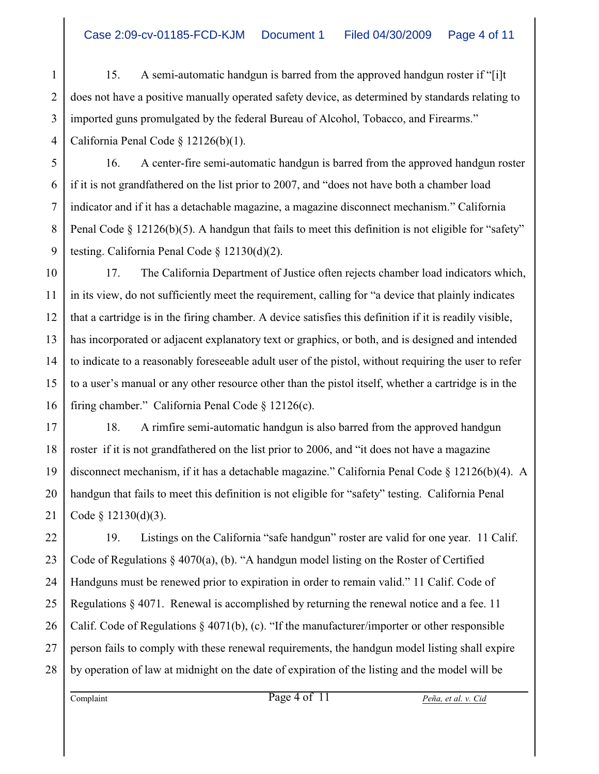1 2 3 4 15. A semi-automatic handgun is barred from the approved handgun roster if "[i]t does not have a positive manually operated safety device, as determined by standards relating to imported guns promulgated by the federal Bureau of Alcohol, Tobacco, and Firearms." California Penal Code § 12126(b)(1).

5 16. A center-fire semi-automatic handgun is barred from the approved handgun roster if it is not grandfathered on the list prior to 2007, and "does not have both a chamber load indicator and if it has a detachable magazine, a magazine disconnect mechanism." California Penal Code  $\S$  12126(b)(5). A handgun that fails to meet this definition is not eligible for "safety" testing. California Penal Code § 12130(d)(2).

10 11 12 13 14 15 16 17. The California Department of Justice often rejects chamber load indicators which, in its view, do not sufficiently meet the requirement, calling for "a device that plainly indicates that a cartridge is in the firing chamber. A device satisfies this definition if it is readily visible, has incorporated or adjacent explanatory text or graphics, or both, and is designed and intended to indicate to a reasonably foreseeable adult user of the pistol, without requiring the user to refer to a user's manual or any other resource other than the pistol itself, whether a cartridge is in the firing chamber." California Penal Code § 12126(c).

17 18 19 20 21 18. A rimfire semi-automatic handgun is also barred from the approved handgun roster if it is not grandfathered on the list prior to 2006, and "it does not have a magazine disconnect mechanism, if it has a detachable magazine." California Penal Code § 12126(b)(4). A handgun that fails to meet this definition is not eligible for "safety" testing. California Penal Code § 12130(d)(3).

22 23 24 25 26 27 28 19. Listings on the California "safe handgun" roster are valid for one year. 11 Calif. Code of Regulations  $\S 4070(a)$ , (b). "A handgun model listing on the Roster of Certified Handguns must be renewed prior to expiration in order to remain valid." 11 Calif. Code of Regulations  $\S$  4071. Renewal is accomplished by returning the renewal notice and a fee. 11 Calif. Code of Regulations § 4071(b), (c). "If the manufacturer/importer or other responsible person fails to comply with these renewal requirements, the handgun model listing shall expire by operation of law at midnight on the date of expiration of the listing and the model will be

6

7

8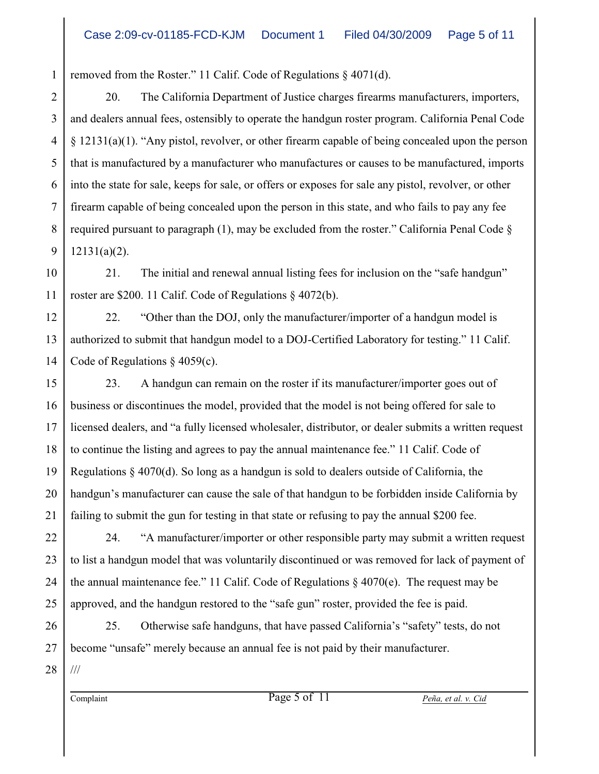1 removed from the Roster." 11 Calif. Code of Regulations § 4071(d).

2 3 4 5 6 7 8 9 20. The California Department of Justice charges firearms manufacturers, importers, and dealers annual fees, ostensibly to operate the handgun roster program. California Penal Code § 12131(a)(1). "Any pistol, revolver, or other firearm capable of being concealed upon the person that is manufactured by a manufacturer who manufactures or causes to be manufactured, imports into the state for sale, keeps for sale, or offers or exposes for sale any pistol, revolver, or other firearm capable of being concealed upon the person in this state, and who fails to pay any fee required pursuant to paragraph  $(1)$ , may be excluded from the roster." California Penal Code  $\S$ 12131(a)(2).

10 11 21. The initial and renewal annual listing fees for inclusion on the "safe handgun" roster are \$200. 11 Calif. Code of Regulations § 4072(b).

12 13 14 22. "Other than the DOJ, only the manufacturer/importer of a handgun model is authorized to submit that handgun model to a DOJ-Certified Laboratory for testing." 11 Calif. Code of Regulations § 4059(c).

15 16 17 18 19 20 21 23. A handgun can remain on the roster if its manufacturer/importer goes out of business or discontinues the model, provided that the model is not being offered for sale to licensed dealers, and "a fully licensed wholesaler, distributor, or dealer submits a written request to continue the listing and agrees to pay the annual maintenance fee." 11 Calif. Code of Regulations  $\S$  4070(d). So long as a handgun is sold to dealers outside of California, the handgun's manufacturer can cause the sale of that handgun to be forbidden inside California by failing to submit the gun for testing in that state or refusing to pay the annual \$200 fee.

22 23 24 25 24. "A manufacturer/importer or other responsible party may submit a written request to list a handgun model that was voluntarily discontinued or was removed for lack of payment of the annual maintenance fee." 11 Calif. Code of Regulations  $\S$  4070(e). The request may be approved, and the handgun restored to the "safe gun" roster, provided the fee is paid.

26 27 25. Otherwise safe handguns, that have passed California's "safety" tests, do not become "unsafe" merely because an annual fee is not paid by their manufacturer.

28 ///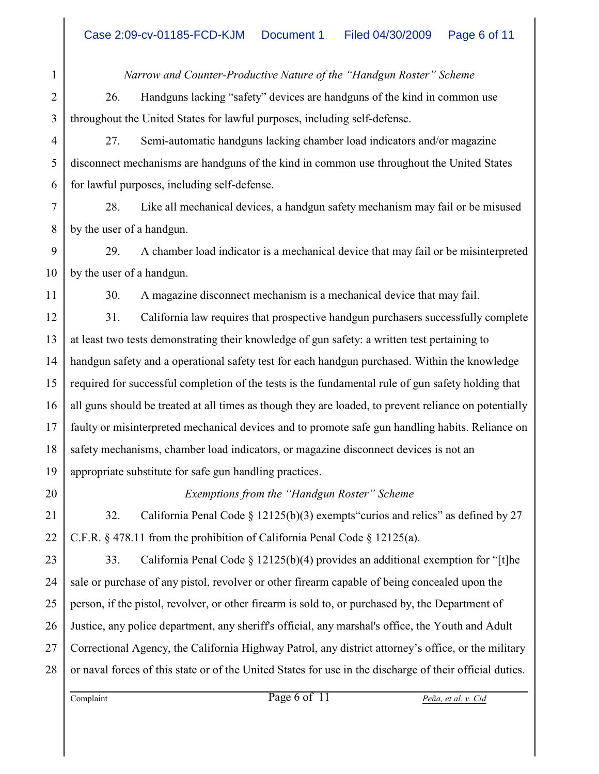*Narrow and Counter-Productive Nature of the "Handgun Roster" Scheme* 26. Handguns lacking "safety" devices are handguns of the kind in common use throughout the United States for lawful purposes, including self-defense.

27. Semi-automatic handguns lacking chamber load indicators and/or magazine disconnect mechanisms are handguns of the kind in common use throughout the United States for lawful purposes, including self-defense.

7 8 28. Like all mechanical devices, a handgun safety mechanism may fail or be misused by the user of a handgun.

9 10 29. A chamber load indicator is a mechanical device that may fail or be misinterpreted by the user of a handgun.

30. A magazine disconnect mechanism is a mechanical device that may fail.

12 13 14 15 16 17 18 19 31. California law requires that prospective handgun purchasers successfully complete at least two tests demonstrating their knowledge of gun safety: a written test pertaining to handgun safety and a operational safety test for each handgun purchased. Within the knowledge required for successful completion of the tests is the fundamental rule of gun safety holding that all guns should be treated at all times as though they are loaded, to prevent reliance on potentially faulty or misinterpreted mechanical devices and to promote safe gun handling habits. Reliance on safety mechanisms, chamber load indicators, or magazine disconnect devices is not an appropriate substitute for safe gun handling practices.

*Exemptions from the "Handgun Roster" Scheme*

32. California Penal Code § 12125(b)(3) exempts"curios and relics" as defined by 27 C.F.R. § 478.11 from the prohibition of California Penal Code § 12125(a).

23 24 25 26 27 28 33. California Penal Code  $\S 12125(b)(4)$  provides an additional exemption for "[t]he sale or purchase of any pistol, revolver or other firearm capable of being concealed upon the person, if the pistol, revolver, or other firearm is sold to, or purchased by, the Department of Justice, any police department, any sheriff's official, any marshal's office, the Youth and Adult Correctional Agency, the California Highway Patrol, any district attorney's office, or the military or naval forces of this state or of the United States for use in the discharge of their official duties.

1

2

3

4

5

6

11

20

21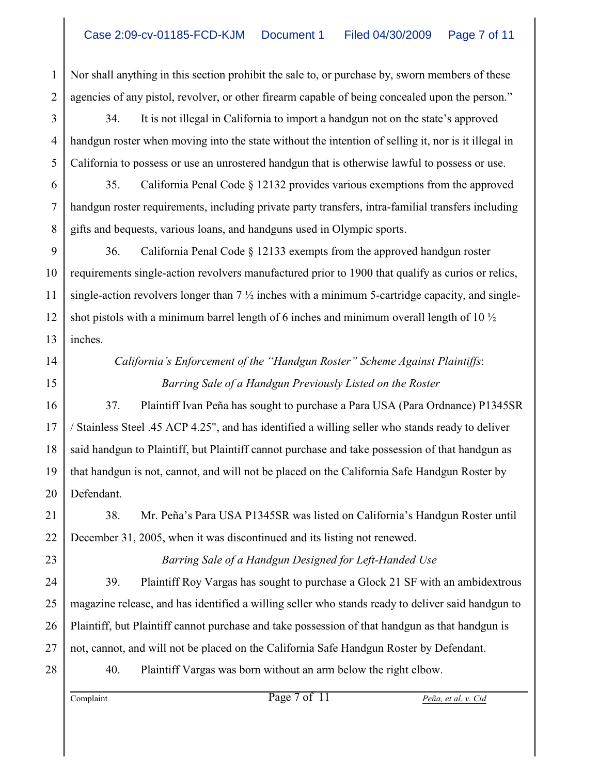1 2 Nor shall anything in this section prohibit the sale to, or purchase by, sworn members of these agencies of any pistol, revolver, or other firearm capable of being concealed upon the person."

3 34. It is not illegal in California to import a handgun not on the state's approved handgun roster when moving into the state without the intention of selling it, nor is it illegal in California to possess or use an unrostered handgun that is otherwise lawful to possess or use.

35. California Penal Code § 12132 provides various exemptions from the approved handgun roster requirements, including private party transfers, intra-familial transfers including gifts and bequests, various loans, and handguns used in Olympic sports.

9 10 11 12 13 36. California Penal Code § 12133 exempts from the approved handgun roster requirements single-action revolvers manufactured prior to 1900 that qualify as curios or relics, single-action revolvers longer than  $7\frac{1}{2}$  inches with a minimum 5-cartridge capacity, and singleshot pistols with a minimum barrel length of 6 inches and minimum overall length of 10 ½ inches.

14 15

17

18

19

20

23

24

25

26

27

4

5

6

7

8

# *California's Enforcement of the "Handgun Roster" Scheme Against Plaintiffs*:  *Barring Sale of a Handgun Previously Listed on the Roster*

16 37. Plaintiff Ivan Peña has sought to purchase a Para USA (Para Ordnance) P1345SR / Stainless Steel .45 ACP 4.25", and has identified a willing seller who stands ready to deliver said handgun to Plaintiff, but Plaintiff cannot purchase and take possession of that handgun as that handgun is not, cannot, and will not be placed on the California Safe Handgun Roster by Defendant.

21 22 38. Mr. Peña's Para USA P1345SR was listed on California's Handgun Roster until December 31, 2005, when it was discontinued and its listing not renewed.

*Barring Sale of a Handgun Designed for Left-Handed Use*

39. Plaintiff Roy Vargas has sought to purchase a Glock 21 SF with an ambidextrous magazine release, and has identified a willing seller who stands ready to deliver said handgun to Plaintiff, but Plaintiff cannot purchase and take possession of that handgun as that handgun is not, cannot, and will not be placed on the California Safe Handgun Roster by Defendant.

28

40. Plaintiff Vargas was born without an arm below the right elbow.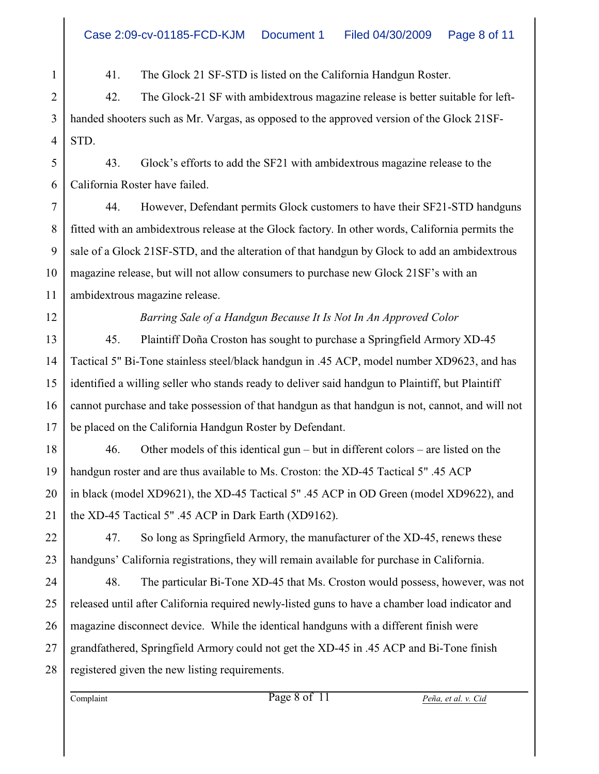41. The Glock 21 SF-STD is listed on the California Handgun Roster.

2 42. The Glock-21 SF with ambidextrous magazine release is better suitable for lefthanded shooters such as Mr. Vargas, as opposed to the approved version of the Glock 21SF-STD.

5 6 43. Glock's efforts to add the SF21 with ambidextrous magazine release to the California Roster have failed.

44. However, Defendant permits Glock customers to have their SF21-STD handguns fitted with an ambidextrous release at the Glock factory. In other words, California permits the sale of a Glock 21SF-STD, and the alteration of that handgun by Glock to add an ambidextrous magazine release, but will not allow consumers to purchase new Glock 21SF's with an ambidextrous magazine release.

*Barring Sale of a Handgun Because It Is Not In An Approved Color*

45. Plaintiff Doña Croston has sought to purchase a Springfield Armory XD-45 Tactical 5" Bi-Tone stainless steel/black handgun in .45 ACP, model number XD9623, and has identified a willing seller who stands ready to deliver said handgun to Plaintiff, but Plaintiff cannot purchase and take possession of that handgun as that handgun is not, cannot, and will not be placed on the California Handgun Roster by Defendant.

46. Other models of this identical gun – but in different colors – are listed on the handgun roster and are thus available to Ms. Croston: the XD-45 Tactical 5" .45 ACP in black (model XD9621), the XD-45 Tactical 5" .45 ACP in OD Green (model XD9622), and the XD-45 Tactical 5" .45 ACP in Dark Earth (XD9162).

47. So long as Springfield Armory, the manufacturer of the XD-45, renews these handguns' California registrations, they will remain available for purchase in California.

48. The particular Bi-Tone XD-45 that Ms. Croston would possess, however, was not released until after California required newly-listed guns to have a chamber load indicator and magazine disconnect device. While the identical handguns with a different finish were grandfathered, Springfield Armory could not get the XD-45 in .45 ACP and Bi-Tone finish registered given the new listing requirements.

1

3

4

7

8

9

10

11

12

13

14

15

16

17

18

19

20

21

22

23

24

25

26

27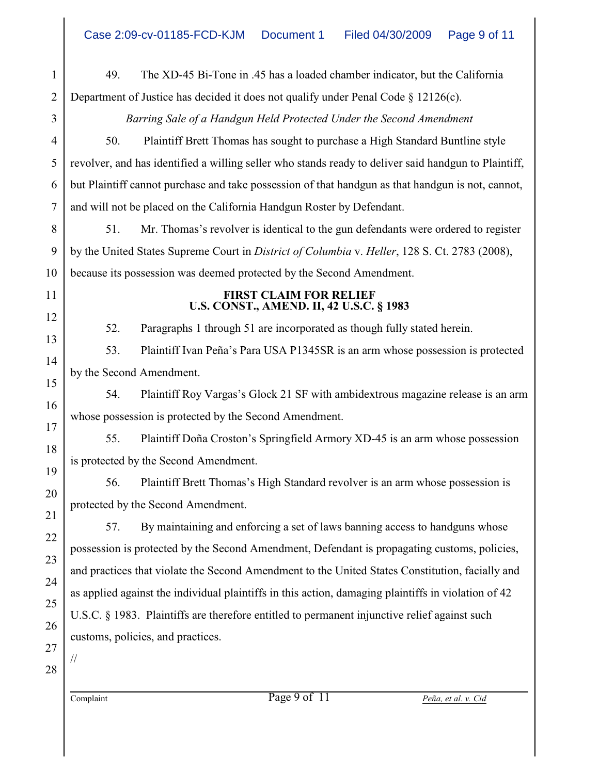1 2 3 4 5 6 7 8 9 10 11 12 13 14 15 16 17 18 19 20 21 22 23 24 25 26 27 28 Complaint Page 9 of 11 *Peña, et al. v. Cid* 49. The XD-45 Bi-Tone in .45 has a loaded chamber indicator, but the California Department of Justice has decided it does not qualify under Penal Code § 12126(c). *Barring Sale of a Handgun Held Protected Under the Second Amendment* 50. Plaintiff Brett Thomas has sought to purchase a High Standard Buntline style revolver, and has identified a willing seller who stands ready to deliver said handgun to Plaintiff, but Plaintiff cannot purchase and take possession of that handgun as that handgun is not, cannot, and will not be placed on the California Handgun Roster by Defendant. 51. Mr. Thomas's revolver is identical to the gun defendants were ordered to register by the United States Supreme Court in *District of Columbia* v. *Heller*, 128 S. Ct. 2783 (2008), because its possession was deemed protected by the Second Amendment. **FIRST CLAIM FOR RELIEF U.S. CONST., AMEND. II, 42 U.S.C. § 1983** 52. Paragraphs 1 through 51 are incorporated as though fully stated herein. 53. Plaintiff Ivan Peña's Para USA P1345SR is an arm whose possession is protected by the Second Amendment. 54. Plaintiff Roy Vargas's Glock 21 SF with ambidextrous magazine release is an arm whose possession is protected by the Second Amendment. 55. Plaintiff Doña Croston's Springfield Armory XD-45 is an arm whose possession is protected by the Second Amendment. 56. Plaintiff Brett Thomas's High Standard revolver is an arm whose possession is protected by the Second Amendment. 57. By maintaining and enforcing a set of laws banning access to handguns whose possession is protected by the Second Amendment, Defendant is propagating customs, policies, and practices that violate the Second Amendment to the United States Constitution, facially and as applied against the individual plaintiffs in this action, damaging plaintiffs in violation of 42 U.S.C. § 1983. Plaintiffs are therefore entitled to permanent injunctive relief against such customs, policies, and practices. //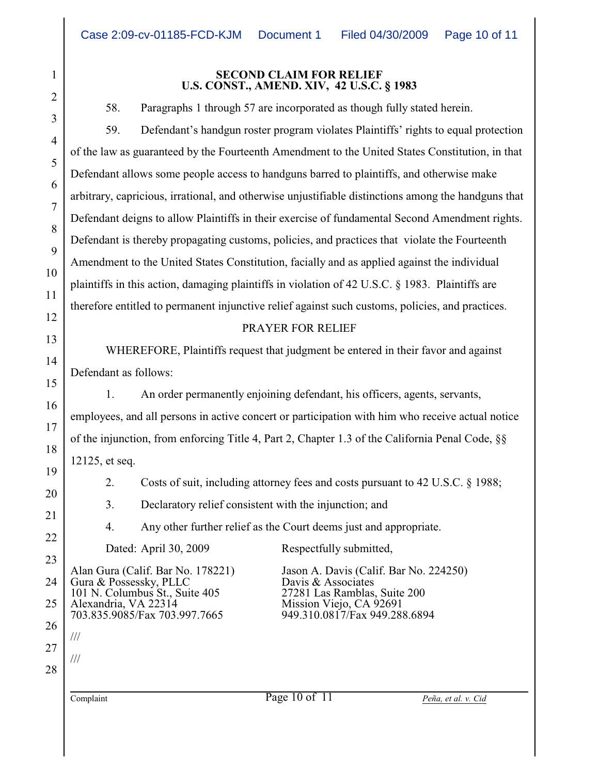#### **SECOND CLAIM FOR RELIEF U.S. CONST., AMEND. XIV, 42 U.S.C. § 1983**

58. Paragraphs 1 through 57 are incorporated as though fully stated herein.

59. Defendant's handgun roster program violates Plaintiffs' rights to equal protection of the law as guaranteed by the Fourteenth Amendment to the United States Constitution, in that Defendant allows some people access to handguns barred to plaintiffs, and otherwise make arbitrary, capricious, irrational, and otherwise unjustifiable distinctions among the handguns that Defendant deigns to allow Plaintiffs in their exercise of fundamental Second Amendment rights. Defendant is thereby propagating customs, policies, and practices that violate the Fourteenth Amendment to the United States Constitution, facially and as applied against the individual plaintiffs in this action, damaging plaintiffs in violation of 42 U.S.C. § 1983. Plaintiffs are therefore entitled to permanent injunctive relief against such customs, policies, and practices.

## PRAYER FOR RELIEF

WHEREFORE, Plaintiffs request that judgment be entered in their favor and against Defendant as follows:

1. An order permanently enjoining defendant, his officers, agents, servants, employees, and all persons in active concert or participation with him who receive actual notice of the injunction, from enforcing Title 4, Part 2, Chapter 1.3 of the California Penal Code, §§ 12125, et seq.

2. Costs of suit, including attorney fees and costs pursuant to 42 U.S.C. § 1988;

3. Declaratory relief consistent with the injunction; and

4. Any other further relief as the Court deems just and appropriate.

Dated: April 30, 2009 Respectfully submitted,

Alan Gura (Calif. Bar No. 178221) Jason A. Davis (Calif. Bar No. 224250)<br>Gura & Possessky, PLLC Davis & Associates Gura & Possessky, PLLC<br>
101 N. Columbus St., Suite 405<br>
27281 Las Ramblas, Suite 200 101 N. Columbus St., Suite 405<br>Alexandria, VA 22314 Alexandria, VA 22314 Mission Viejo, CA 92691<br>703.835.9085/Fax 703.997.7665 949.310.0817/Fax 949.288

27

1

2

3

4

5

6

7

8

9

10

11

12

13

14

15

16

17

18

19

20

21

22

23

24

25

26

28

///

///

949.310.0817/Fax 949.288.6894